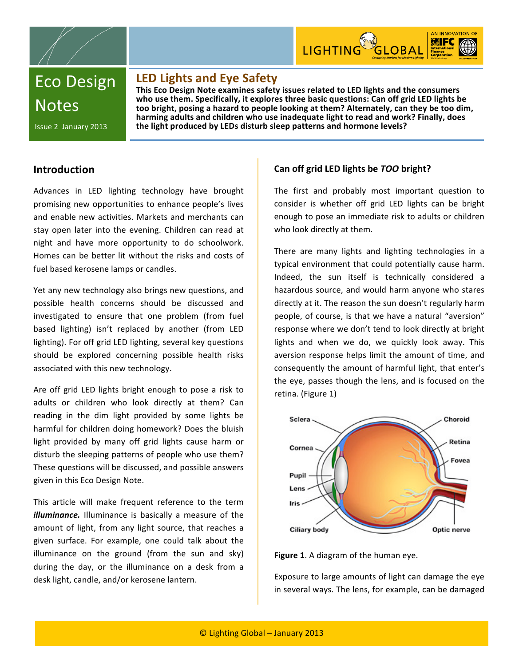



Eco
Design **Notes** 

Issue
2

January
2013

# **LED
Lights
and
Eye
Safety**

This Eco Design Note examines safety issues related to LED lights and the consumers who use them. Specifically, it explores three basic questions: Can off grid LED lights be too bright, posing a hazard to people looking at them? Alternately, can they be too dim, harming adults and children who use inadequate light to read and work? Finally, does **the
light
produced
by
LEDs
disturb
sleep
patterns
and
hormone
levels?**

# **Introduction**

Advances
 in
 LED
 lighting
 technology
 have
 brought promising
new
opportunities
 to
enhance
people's
lives and
enable
new
activities.
Markets
and
merchants
can stay open later into the evening. Children can read at night
 and
 have
 more
 opportunity
 to
 do
 schoolwork. Homes can be better lit without the risks and costs of fuel
based
kerosene
lamps
or
candles.

Yet
any
new
technology
also
brings
new
questions,
and possible
 health
 concerns
 should
 be
 discussed
 and investigated to ensure that one problem (from fuel based
 lighting)
 isn't
 replaced
 by
 another
 (from
 LED lighting). For off grid LED lighting, several key questions should
 be
 explored
 concerning
 possible
 health
 risks associated
with
this
new
technology.

Are off grid LED lights bright enough to pose a risk to adults or children who look directly at them? Can reading in the dim light provided by some lights be harmful
 for
children
doing
homework?
Does
the
bluish light provided by many off grid lights cause harm or disturb
the
sleeping
patterns
of
people
who
use
them? These
questions
will
be
discussed,
and
possible
answers given
in
this
Eco
Design
Note.

This article will make frequent reference to the term *illuminance*. Illuminance is basically a measure of the amount of light, from any light source, that reaches a given surface. For example, one could talk about the illuminance on the ground (from the sun and sky) during the day, or the illuminance on a desk from a desk
light,
candle,
and/or
kerosene
lantern.

# **Can
off
grid
LED
lights
be** *TOO***bright?**

The
 first
 and
 probably
 most
 important
 question
 to consider is whether off grid LED lights can be bright enough
to
pose
an
immediate
risk
to
adults
or
children who look directly at them.

There are many lights and lighting technologies in a typical
environment
that
could
potentially
cause
harm. Indeed, the sun itself is technically considered a hazardous
source,
and
would
harm
anyone
who
stares directly at it. The reason the sun doesn't regularly harm people, of course, is that we have a natural "aversion" response
where
we
don't
tend
to
look
directly
at
bright lights and when we do, we quickly look away. This aversion response helps limit the amount of time, and consequently
 the
amount
of
harmful
light,
 that
enter's the eye, passes though the lens, and is focused on the retina.
(Figure
1)



#### Figure 1. A diagram of the human eye.

Exposure
to
large
amounts
of
light
can
damage
the
eye in
several
ways.
The
lens,
for
example,
can
be
damaged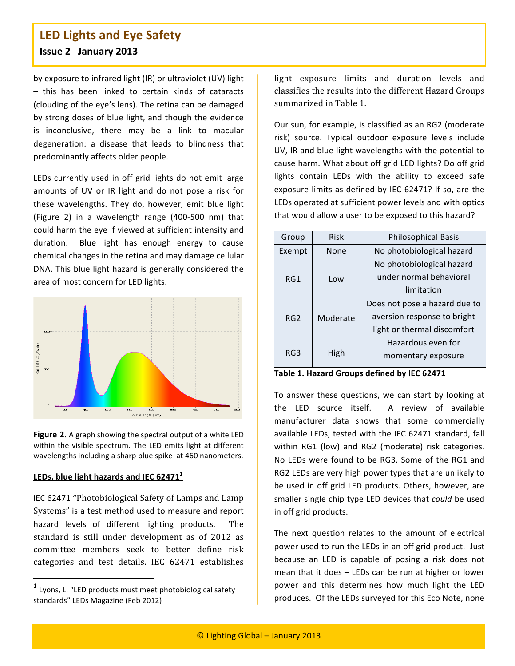# **LED
Lights
and
Eye
Safety Issue
2

January
2013**

by
exposure
to
infrared
light
(IR)
or
ultraviolet
(UV)
light - this has been linked to certain kinds of cataracts (clouding
of
the
eye's
lens).
The
retina
can
be
damaged by
strong
doses
of
blue
light,
and
 though
 the
evidence is inconclusive, there may be a link to macular degeneration: a disease that leads to blindness that predominantly
affects
older
people.

LEDs currently used in off grid lights do not emit large amounts of UV or IR light and do not pose a risk for these
 wavelengths.
 They
 do,
 however,
 emit
 blue
 light (Figure
 2) in
 a
 wavelength
 range
 (400‐500
 nm)
 that could
harm
the
eye
if
viewed
at
sufficient
intensity
and duration. Blue light has enough energy to cause chemical
changes
in
the
retina
and
may
damage
cellular DNA.
This
blue
light
hazard
is
generally
considered
 the area
of
most
concern
for
LED
lights.



Figure 2. A graph showing the spectral output of a white LED within the visible spectrum. The LED emits light at different wavelengths including a sharp blue spike at 460 nanometers.

## LEDs, blue light hazards and IEC 62471<sup>1</sup>

IEC
62471
"Photobiological
Safety
of
Lamps
and
Lamp Systems" is a test method used to measure and report hazard levels of different lighting products. The standard is still under development as of 2012 as committee
 members
 seek
 to
 better
 define
 risk categories
 and
 test
 details. IEC
 62471
 establishes

light
 exposure
 limits
 and duration
 levels and classifies
the
results
into
the
different
Hazard
Groups summarized
in
Table
1.

Our
sun,
for
example,
is
classified
as
an
RG2
(moderate risk) source. Typical outdoor exposure levels include UV, IR and blue light wavelengths with the potential to cause
harm.
What
about
off
grid
LED
lights?
Do
off
grid lights contain LEDs with the ability to exceed safe exposure
limits
as
defined
by
IEC
62471?
If
so,
are
 the LEDs
operated
at
sufficient
power
levels
and
with
optics that would allow a user to be exposed to this hazard?

| Group  | <b>Risk</b> | <b>Philosophical Basis</b>    |
|--------|-------------|-------------------------------|
| Exempt | None        | No photobiological hazard     |
| RG1    | Low         | No photobiological hazard     |
|        |             | under normal behavioral       |
|        |             | limitation                    |
| RG2    | Moderate    | Does not pose a hazard due to |
|        |             | aversion response to bright   |
|        |             | light or thermal discomfort   |
| RG3    | High        | Hazardous even for            |
|        |             | momentary exposure            |

**Table
1.
Hazard
Groups
defined
by
IEC
62471**

To answer these questions, we can start by looking at the LED source itself. A review of available manufacturer data shows that some commercially available
LEDs,
tested
with
the
IEC
62471
standard,
fall within RG1 (low) and RG2 (moderate) risk categories. No LEDs were found to be RG3. Some of the RG1 and RG2 LEDs are very high power types that are unlikely to be
used
in
off
grid
LED
products.
Others,
however,
are smaller
single
chip
type
LED
devices
that *could*be
used in
off
grid
products.

The next question relates to the amount of electrical power used to run the LEDs in an off grid product. Just because
 an
 LED
 is
 capable
 of
 posing
 a
 risk
 does
 not mean
that
it
does
–
LEDs
can
be
run
at
higher
or
lower power
 and
 this
 determines
 how
 much
 light
 the
 LED produces.

Of
the
LEDs
surveyed
for
this
Eco
Note,
none

 $1$  Lyons, L. "LED products must meet photobiological safety standards"
LEDs
Magazine
(Feb
2012)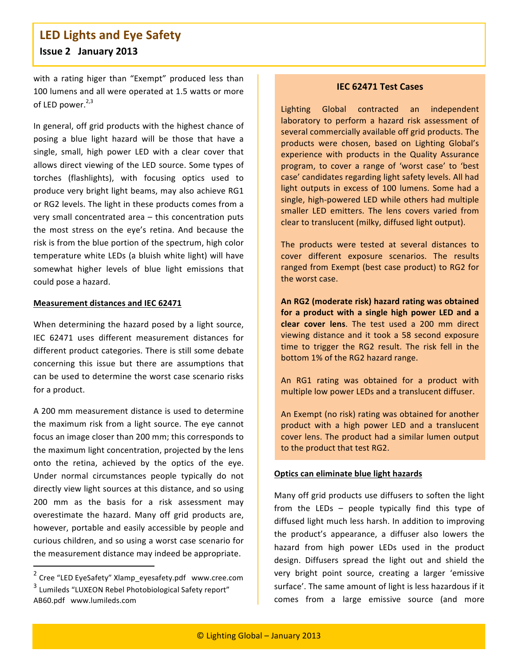# **LED
Lights
and
Eye
Safety Issue
2

January
2013**

with a rating higer than "Exempt" produced less than 100
lumens
and
all
were
operated
at
1.5
watts
or
more of LED power. $2,3$ 

In
general,
off
grid
products
with
the
highest
chance
of posing a blue light hazard will be those that have a single, small, high power LED with a clear cover that allows direct viewing of the LED source. Some types of torches
 (flashlights),
 with
 focusing
 optics
 used
 to produce
very
bright
light
beams,
may
also
achieve
RG1 or
RG2
levels.
The
light
in
these
products
comes
from
a very
small
concentrated
area
–
 this
concentration
puts the most stress on the eye's retina. And because the risk
is
from
the
blue
portion
of
the
spectrum,
high
color temperature
white
LEDs
 (a
bluish
white
light)
will
have somewhat higher levels of blue light emissions that could
pose
a
hazard.

#### **Measurement
distances
and
IEC
62471**

When determining the hazard posed by a light source, IEC
 62471
 uses
 different
 measurement
 distances
 for different
product
categories.
There
is
still
some
debate concerning
 this
 issue
 but
 there
 are
 assumptions
 that can
be
used
to
determine
the
worst
case
scenario
risks for
a
product.

A
200
mm
measurement
distance
is
used
to
determine the
maximum
 risk
 from
a
light
 source.
The
eye
cannot focus
an
image
closer
than
200
mm;
this
corresponds
to the
maximum
light
concentration,
projected
by
the
lens onto
 the
 retina,
 achieved
 by
 the
 optics
 of
 the
 eye. Under
 normal
 circumstances
 people
 typically
 do
 not directly view light sources at this distance, and so using 200
 mm
 as
 the
 basis
 for
 a
 risk
 assessment
 may overestimate
 the
 hazard.
 Many
 off
 grid
 products
 are, however, portable and easily accessible by people and curious
children,
and
so
using
a
worst
case
scenario
for the
measurement
distance
may
indeed
be
appropriate.

#### **IEC
62471
Test
Cases**

Lighting
 Global
 contracted
 an
 independent laboratory to perform a hazard risk assessment of several commercially available off grid products. The products
 were
 chosen,
 based
 on
 Lighting
 Global's experience
 with
 products
 in
 the
 Quality
 Assurance program,
 to
 cover
 a
 range
 of
 'worst
 case'
 to
 'best case'
candidates
regarding
light
safety
levels.
All
had light outputs in excess of 100 lumens. Some had a single,
high‐powered
LED
while
others
had
multiple smaller LED emitters. The lens covers varied from clear
to
translucent
(milky,
diffused
light
output).

The
 products
 were
 tested
 at
 several
 distances
 to cover different exposure scenarios. The results ranged
 from
Exempt
 (best
case
product)
to
RG2
 for the
worst
case.

**An
RG2
(moderate
risk)
hazard rating
was
obtained**  for a product with a single high power LED and a clear cover lens. The test used a 200 mm direct viewing
 distance
 and
 it
 took
 a
 58
 second
 exposure time to trigger the RG2 result. The risk fell in the bottom
1%
of
the
RG2
hazard
range.

An
 RG1
 rating was
 obtained
 for
 a
 product
 with multiple
low
power
LEDs
and
a
translucent
diffuser.

An
Exempt
(no
risk)
rating
was
obtained
for
another product with a high power LED and a translucent cover
lens.
The
product
had
a
similar
lumen
output to the product that test RG2.

#### **Optics
can
eliminate
blue
light
hazards**

Many off grid products use diffusers to soften the light from the LEDs - people typically find this type of diffused
light
much
less
harsh.
In
addition
to
improving the
 product's
 appearance,
 a
 diffuser
 also
 lowers the hazard
 from
 high
 power
 LEDs
 used
 in
 the
 product design. Diffusers spread the light out and shield the very bright point source, creating a larger 'emissive surface'.
The
same
amount
of
light
is
less
hazardous
if
it comes
 from
 a
 large
 emissive
 source (and
 more

<sup>&</sup>lt;sup>2</sup> Cree "LED EyeSafety" Xlamp\_eyesafety.pdf www.cree.com <sup>3</sup> Lumileds
"LUXEON
Rebel
Photobiological
Safety
report" AB60.pdf

www.lumileds.com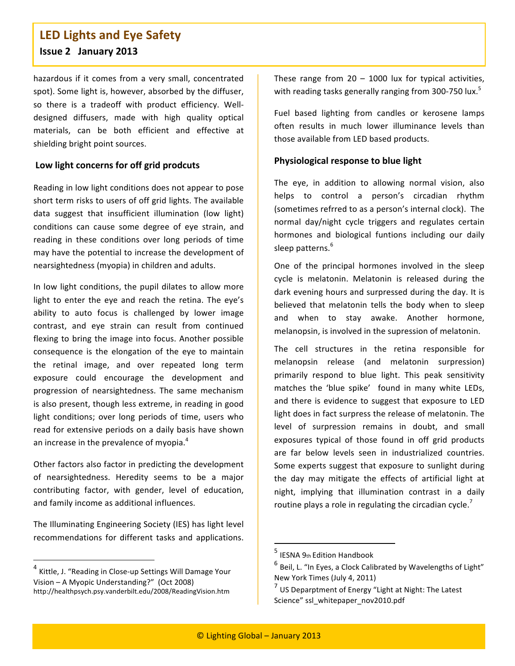# **LED
Lights
and
Eye
Safety Issue
2

January
2013**

hazardous
 if
 it
 comes
 from a
 very
 small,
 concentrated spot).
Some
light
is,
however,
absorbed
by
the
diffuser, so there is a tradeoff with product efficiency. Welldesigned
 diffusers,
 made
 with
 high
 quality
 optical materials,
 can
 be
 both
 efficient
 and
 effective
 at shielding
bright
point
sources.

## **Low
light
concerns
for
off
grid
prodcuts**

Reading
in
low
light
conditions
does
not
appear
to
pose short
term
risks
to
users
of
off
grid
lights.
The
available data suggest that insufficient illumination (low light) conditions can cause some degree of eye strain, and reading in these conditions over long periods of time may
have
the
potential
to
increase
the
development
of nearsightedness
(myopia)
in
children
and
adults.

In
low
light
conditions,
 the
 pupil
 dilates
 to
allow
more light to enter the eye and reach the retina. The eye's ability to auto focus is challenged by lower image contrast,
 and
 eye
 strain
 can
 result
 from
 continued flexing to bring the image into focus. Another possible consequence is the elongation of the eye to maintain the
 retinal
 image,
 and
 over
 repeated
 long
 term exposure
 could
 encourage
 the
 development
 and progression
 of
 nearsightedness.
 The
 same
 mechanism is
also
present,
though
less
extreme,
in
reading
in
good light conditions; over long periods of time, users who read
 for
extensive
periods
on
a
daily
basis
have
shown an increase in the prevalence of myopia.<sup>4</sup>

Other factors also factor in predicting the development of
 nearsightedness.
 Heredity
 seems
 to
 be
 a
 major contributing
 factor,
 with
 gender,
 level
 of
 education, and
family
income
as
additional
influences.

The
Illuminating
Engineering
Society
(IES)
has
light
level recommendations
 for
 different
 tasks
 and
 applications.

These range from  $20 - 1000$  lux for typical activities, with reading tasks generally ranging from 300-750 lux.<sup>5</sup>

Fuel based lighting from candles or kerosene lamps often
 results
 in
 much
 lower
 illuminance
 levels
 than those
available
from
LED
based
products.

## **Physiological
response
to
blue
light**

The eye, in addition to allowing normal vision, also helps
 to
 control
 a
 person's
 circadian
 rhythm (sometimes
refrred
to
as
a
person's
internal
clock).

The normal
 day/night
 cycle
 triggers
 and
 regulates
 certain hormones and biological funtions including our daily sleep patterns.<sup>6</sup>

One
 of
 the
 principal
 hormones
 involved
 in
 the
 sleep cycle is melatonin. Melatonin is released during the dark evening hours and surpressed during the day. It is believed that melatonin tells the body when to sleep and
 when
 to
 stay
 awake.
 Another
 hormone, melanopsin, is involved in the supression of melatonin.

The
 cell
 structures
 in
 the
 retina
 responsible
 for melanopsin
 release
 (and
 melatonin
 surpression) primarily respond to blue light. This peak sensitivity matches the 'blue spike' found in many white LEDs, and there is evidence to suggest that exposure to LED light
does
in
fact
surpress
the
release
of
melatonin.
The level of surpression remains in doubt, and small exposures typical of those found in off grid products are
 far
 below
 levels
 seen
 in
 industrialized
 countries. Some
experts
suggest
 that
exposure
 to
sunlight
during the day may mitigate the effects of artificial light at night, implying that illumination contrast in a daily routine plays a role in regulating the circadian cycle.<sup>7</sup>

<sup>4</sup> Kittle,
J.
"Reading
in
Close‐up
Settings
Will
Damage
Your Vision
– A
Myopic
Understanding?"

(Oct
2008) http://healthpsych.psy.vanderbilt.edu/2008/ReadingVision.htm

<sup>5</sup> IESNA
9th
Edition
Handbook

 $^6$  Beil, L. "In Eyes, a Clock Calibrated by Wavelengths of Light" New
York
Times
(July
4,
2011)

 $\frac{7}{1}$  US Deparptment of Energy "Light at Night: The Latest Science" ssl\_whitepaper\_nov2010.pdf